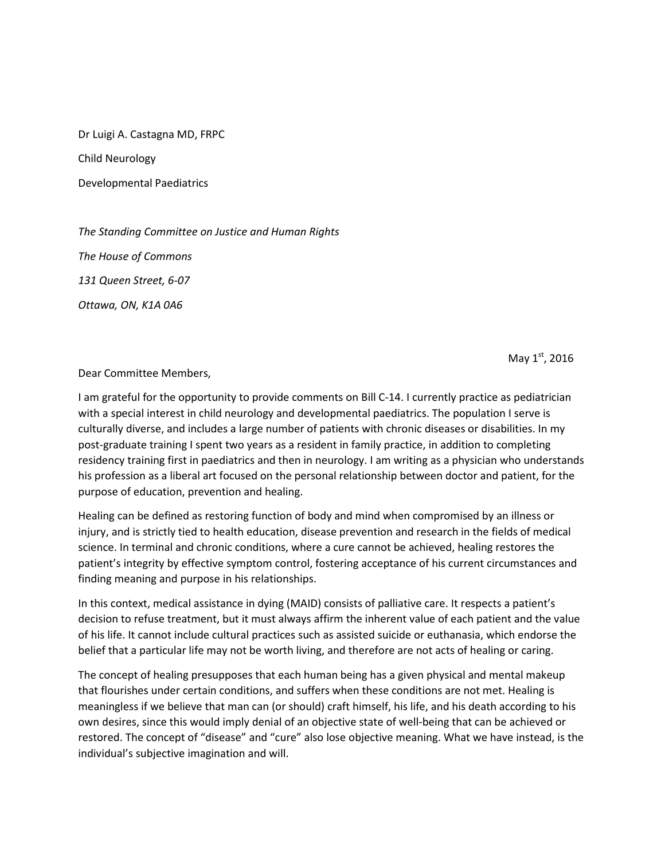Dr Luigi A. Castagna MD, FRPC

Child Neurology

Developmental Paediatrics

*The Standing Committee on Justice and Human Rights The House of Commons 131 Queen Street, 6-07 Ottawa, ON, K1A 0A6*

May  $1<sup>st</sup>$ , 2016

Dear Committee Members,

I am grateful for the opportunity to provide comments on Bill C-14. I currently practice as pediatrician with a special interest in child neurology and developmental paediatrics. The population I serve is culturally diverse, and includes a large number of patients with chronic diseases or disabilities. In my post-graduate training I spent two years as a resident in family practice, in addition to completing residency training first in paediatrics and then in neurology. I am writing as a physician who understands his profession as a liberal art focused on the personal relationship between doctor and patient, for the purpose of education, prevention and healing.

Healing can be defined as restoring function of body and mind when compromised by an illness or injury, and is strictly tied to health education, disease prevention and research in the fields of medical science. In terminal and chronic conditions, where a cure cannot be achieved, healing restores the patient's integrity by effective symptom control, fostering acceptance of his current circumstances and finding meaning and purpose in his relationships.

In this context, medical assistance in dying (MAID) consists of palliative care. It respects a patient's decision to refuse treatment, but it must always affirm the inherent value of each patient and the value of his life. It cannot include cultural practices such as assisted suicide or euthanasia, which endorse the belief that a particular life may not be worth living, and therefore are not acts of healing or caring.

The concept of healing presupposes that each human being has a given physical and mental makeup that flourishes under certain conditions, and suffers when these conditions are not met. Healing is meaningless if we believe that man can (or should) craft himself, his life, and his death according to his own desires, since this would imply denial of an objective state of well-being that can be achieved or restored. The concept of "disease" and "cure" also lose objective meaning. What we have instead, is the individual's subjective imagination and will.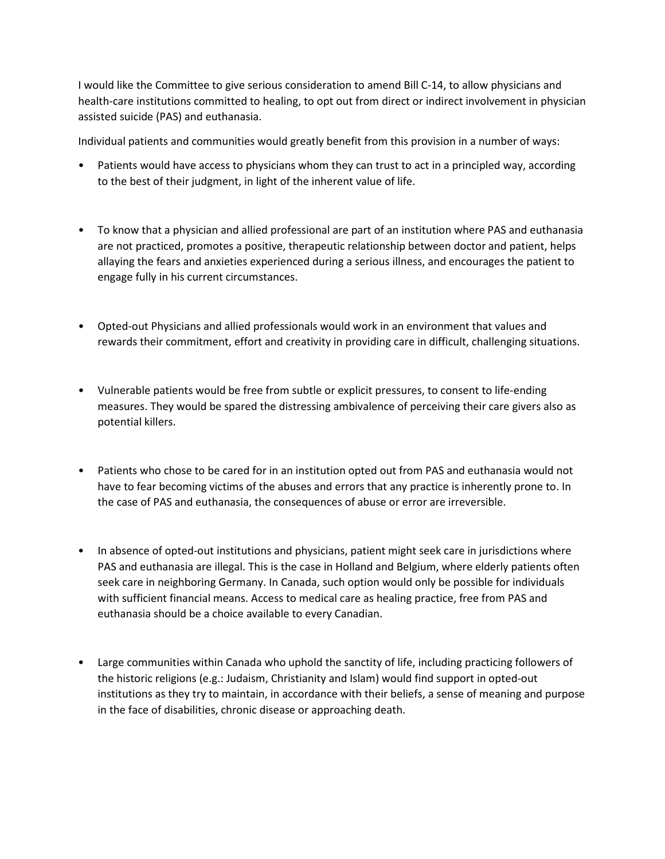I would like the Committee to give serious consideration to amend Bill C-14, to allow physicians and health-care institutions committed to healing, to opt out from direct or indirect involvement in physician assisted suicide (PAS) and euthanasia.

Individual patients and communities would greatly benefit from this provision in a number of ways:

- Patients would have access to physicians whom they can trust to act in a principled way, according to the best of their judgment, in light of the inherent value of life.
- To know that a physician and allied professional are part of an institution where PAS and euthanasia are not practiced, promotes a positive, therapeutic relationship between doctor and patient, helps allaying the fears and anxieties experienced during a serious illness, and encourages the patient to engage fully in his current circumstances.
- Opted-out Physicians and allied professionals would work in an environment that values and rewards their commitment, effort and creativity in providing care in difficult, challenging situations.
- Vulnerable patients would be free from subtle or explicit pressures, to consent to life-ending measures. They would be spared the distressing ambivalence of perceiving their care givers also as potential killers.
- Patients who chose to be cared for in an institution opted out from PAS and euthanasia would not have to fear becoming victims of the abuses and errors that any practice is inherently prone to. In the case of PAS and euthanasia, the consequences of abuse or error are irreversible.
- In absence of opted-out institutions and physicians, patient might seek care in jurisdictions where PAS and euthanasia are illegal. This is the case in Holland and Belgium, where elderly patients often seek care in neighboring Germany. In Canada, such option would only be possible for individuals with sufficient financial means. Access to medical care as healing practice, free from PAS and euthanasia should be a choice available to every Canadian.
- Large communities within Canada who uphold the sanctity of life, including practicing followers of the historic religions (e.g.: Judaism, Christianity and Islam) would find support in opted-out institutions as they try to maintain, in accordance with their beliefs, a sense of meaning and purpose in the face of disabilities, chronic disease or approaching death.